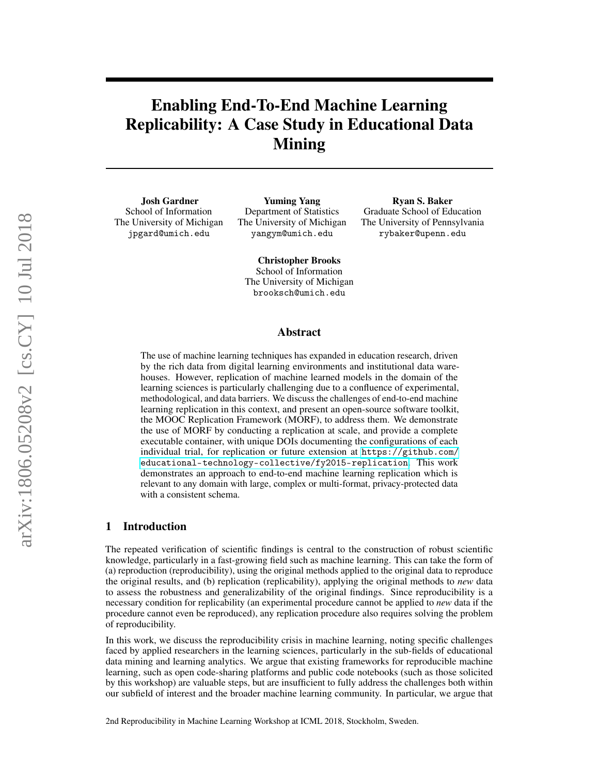# Enabling End-To-End Machine Learning Replicability: A Case Study in Educational Data Mining

Josh Gardner School of Information The University of Michigan jpgard@umich.edu

Yuming Yang Department of Statistics The University of Michigan yangym@umich.edu

Ryan S. Baker Graduate School of Education The University of Pennsylvania rybaker@upenn.edu

Christopher Brooks School of Information The University of Michigan brooksch@umich.edu

#### Abstract

The use of machine learning techniques has expanded in education research, driven by the rich data from digital learning environments and institutional data warehouses. However, replication of machine learned models in the domain of the learning sciences is particularly challenging due to a confluence of experimental, methodological, and data barriers. We discuss the challenges of end-to-end machine learning replication in this context, and present an open-source software toolkit, the MOOC Replication Framework (MORF), to address them. We demonstrate the use of MORF by conducting a replication at scale, and provide a complete executable container, with unique DOIs documenting the configurations of each individual trial, for replication or future extension at [https://github.com/](https://github.com/educational-technology-collective/fy2015-replication) [educational-technology-collective/fy2015-replication](https://github.com/educational-technology-collective/fy2015-replication). This work demonstrates an approach to end-to-end machine learning replication which is relevant to any domain with large, complex or multi-format, privacy-protected data with a consistent schema.

#### 1 Introduction

The repeated verification of scientific findings is central to the construction of robust scientific knowledge, particularly in a fast-growing field such as machine learning. This can take the form of (a) reproduction (reproducibility), using the original methods applied to the original data to reproduce the original results, and (b) replication (replicability), applying the original methods to *new* data to assess the robustness and generalizability of the original findings. Since reproducibility is a necessary condition for replicability (an experimental procedure cannot be applied to *new* data if the procedure cannot even be reproduced), any replication procedure also requires solving the problem of reproducibility.

In this work, we discuss the reproducibility crisis in machine learning, noting specific challenges faced by applied researchers in the learning sciences, particularly in the sub-fields of educational data mining and learning analytics. We argue that existing frameworks for reproducible machine learning, such as open code-sharing platforms and public code notebooks (such as those solicited by this workshop) are valuable steps, but are insufficient to fully address the challenges both within our subfield of interest and the broader machine learning community. In particular, we argue that

2nd Reproducibility in Machine Learning Workshop at ICML 2018, Stockholm, Sweden.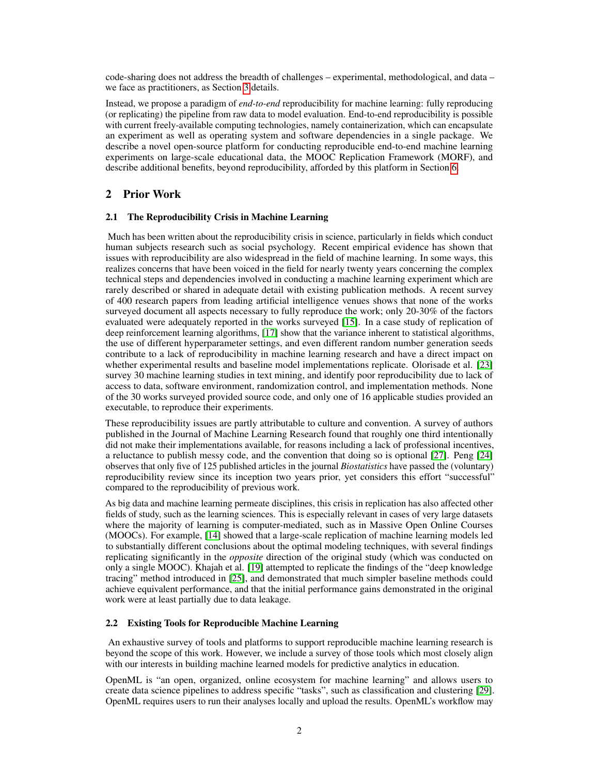code-sharing does not address the breadth of challenges – experimental, methodological, and data – we face as practitioners, as Section [3](#page-2-0) details.

Instead, we propose a paradigm of *end-to-end* reproducibility for machine learning: fully reproducing (or replicating) the pipeline from raw data to model evaluation. End-to-end reproducibility is possible with current freely-available computing technologies, namely containerization, which can encapsulate an experiment as well as operating system and software dependencies in a single package. We describe a novel open-source platform for conducting reproducible end-to-end machine learning experiments on large-scale educational data, the MOOC Replication Framework (MORF), and describe additional benefits, beyond reproducibility, afforded by this platform in Section [6.](#page-6-0)

# 2 Prior Work

#### 2.1 The Reproducibility Crisis in Machine Learning

Much has been written about the reproducibility crisis in science, particularly in fields which conduct human subjects research such as social psychology. Recent empirical evidence has shown that issues with reproducibility are also widespread in the field of machine learning. In some ways, this realizes concerns that have been voiced in the field for nearly twenty years concerning the complex technical steps and dependencies involved in conducting a machine learning experiment which are rarely described or shared in adequate detail with existing publication methods. A recent survey of 400 research papers from leading artificial intelligence venues shows that none of the works surveyed document all aspects necessary to fully reproduce the work; only 20-30% of the factors evaluated were adequately reported in the works surveyed [\[15\]](#page-8-0). In a case study of replication of deep reinforcement learning algorithms, [\[17\]](#page-8-1) show that the variance inherent to statistical algorithms, the use of different hyperparameter settings, and even different random number generation seeds contribute to a lack of reproducibility in machine learning research and have a direct impact on whether experimental results and baseline model implementations replicate. Olorisade et al. [\[23\]](#page-9-0) survey 30 machine learning studies in text mining, and identify poor reproducibility due to lack of access to data, software environment, randomization control, and implementation methods. None of the 30 works surveyed provided source code, and only one of 16 applicable studies provided an executable, to reproduce their experiments.

These reproducibility issues are partly attributable to culture and convention. A survey of authors published in the Journal of Machine Learning Research found that roughly one third intentionally did not make their implementations available, for reasons including a lack of professional incentives, a reluctance to publish messy code, and the convention that doing so is optional [\[27\]](#page-9-1). Peng [\[24\]](#page-9-2) observes that only five of 125 published articles in the journal *Biostatistics* have passed the (voluntary) reproducibility review since its inception two years prior, yet considers this effort "successful" compared to the reproducibility of previous work.

As big data and machine learning permeate disciplines, this crisis in replication has also affected other fields of study, such as the learning sciences. This is especially relevant in cases of very large datasets where the majority of learning is computer-mediated, such as in Massive Open Online Courses (MOOCs). For example, [\[14\]](#page-8-2) showed that a large-scale replication of machine learning models led to substantially different conclusions about the optimal modeling techniques, with several findings replicating significantly in the *opposite* direction of the original study (which was conducted on only a single MOOC). Khajah et al. [\[19\]](#page-8-3) attempted to replicate the findings of the "deep knowledge tracing" method introduced in [\[25\]](#page-9-3), and demonstrated that much simpler baseline methods could achieve equivalent performance, and that the initial performance gains demonstrated in the original work were at least partially due to data leakage.

#### <span id="page-1-0"></span>2.2 Existing Tools for Reproducible Machine Learning

An exhaustive survey of tools and platforms to support reproducible machine learning research is beyond the scope of this work. However, we include a survey of those tools which most closely align with our interests in building machine learned models for predictive analytics in education.

OpenML is "an open, organized, online ecosystem for machine learning" and allows users to create data science pipelines to address specific "tasks", such as classification and clustering [\[29\]](#page-9-4). OpenML requires users to run their analyses locally and upload the results. OpenML's workflow may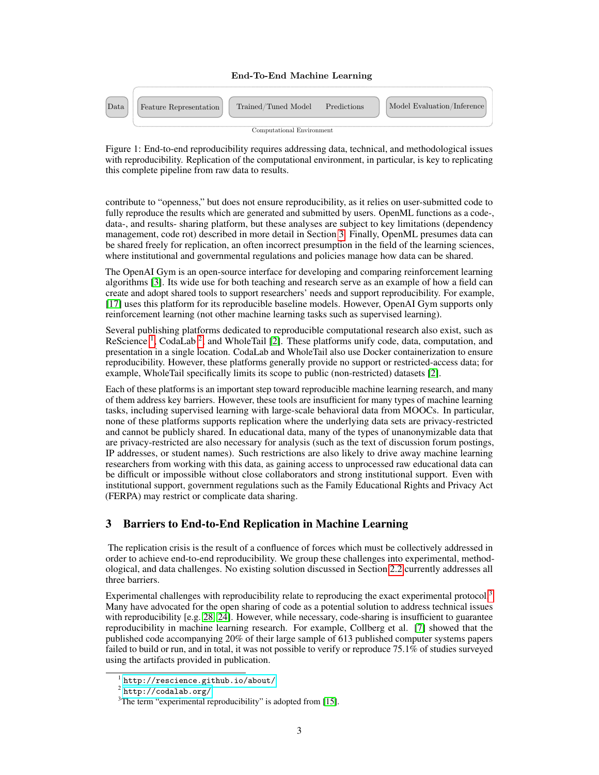

Figure 1: End-to-end reproducibility requires addressing data, technical, and methodological issues with reproducibility. Replication of the computational environment, in particular, is key to replicating this complete pipeline from raw data to results.

contribute to "openness," but does not ensure reproducibility, as it relies on user-submitted code to fully reproduce the results which are generated and submitted by users. OpenML functions as a code-, data-, and results- sharing platform, but these analyses are subject to key limitations (dependency management, code rot) described in more detail in Section [3.](#page-2-0) Finally, OpenML presumes data can be shared freely for replication, an often incorrect presumption in the field of the learning sciences, where institutional and governmental regulations and policies manage how data can be shared.

The OpenAI Gym is an open-source interface for developing and comparing reinforcement learning algorithms [\[3\]](#page-8-4). Its wide use for both teaching and research serve as an example of how a field can create and adopt shared tools to support researchers' needs and support reproducibility. For example, [\[17\]](#page-8-1) uses this platform for its reproducible baseline models. However, OpenAI Gym supports only reinforcement learning (not other machine learning tasks such as supervised learning).

Several publishing platforms dedicated to reproducible computational research also exist, such as ReScience<sup>[1](#page-2-1)</sup>, CodaLab<sup>[2](#page-2-2)</sup>, and WholeTail [\[2\]](#page-8-5). These platforms unify code, data, computation, and presentation in a single location. CodaLab and WholeTail also use Docker containerization to ensure reproducibility. However, these platforms generally provide no support or restricted-access data; for example, WholeTail specifically limits its scope to public (non-restricted) datasets [\[2\]](#page-8-5).

Each of these platforms is an important step toward reproducible machine learning research, and many of them address key barriers. However, these tools are insufficient for many types of machine learning tasks, including supervised learning with large-scale behavioral data from MOOCs. In particular, none of these platforms supports replication where the underlying data sets are privacy-restricted and cannot be publicly shared. In educational data, many of the types of unanonymizable data that are privacy-restricted are also necessary for analysis (such as the text of discussion forum postings, IP addresses, or student names). Such restrictions are also likely to drive away machine learning researchers from working with this data, as gaining access to unprocessed raw educational data can be difficult or impossible without close collaborators and strong institutional support. Even with institutional support, government regulations such as the Family Educational Rights and Privacy Act (FERPA) may restrict or complicate data sharing.

# <span id="page-2-0"></span>3 Barriers to End-to-End Replication in Machine Learning

The replication crisis is the result of a confluence of forces which must be collectively addressed in order to achieve end-to-end reproducibility. We group these challenges into experimental, methodological, and data challenges. No existing solution discussed in Section [2.2](#page-1-0) currently addresses all three barriers.

Experimental challenges with reproducibility relate to reproducing the exact experimental protocol. $3$ Many have advocated for the open sharing of code as a potential solution to address technical issues with reproducibility [e.g. [28,](#page-9-5) [24\]](#page-9-2). However, while necessary, code-sharing is insufficient to guarantee reproducibility in machine learning research. For example, Collberg et al. [\[7\]](#page-8-6) showed that the published code accompanying 20% of their large sample of 613 published computer systems papers failed to build or run, and in total, it was not possible to verify or reproduce 75.1% of studies surveyed using the artifacts provided in publication.

<span id="page-2-1"></span><sup>1</sup> <http://rescience.github.io/about/>

<span id="page-2-2"></span> $^2$  <http://codalab.org/>

<span id="page-2-3"></span><sup>&</sup>lt;sup>3</sup>The term "experimental reproducibility" is adopted from [\[15\]](#page-8-0).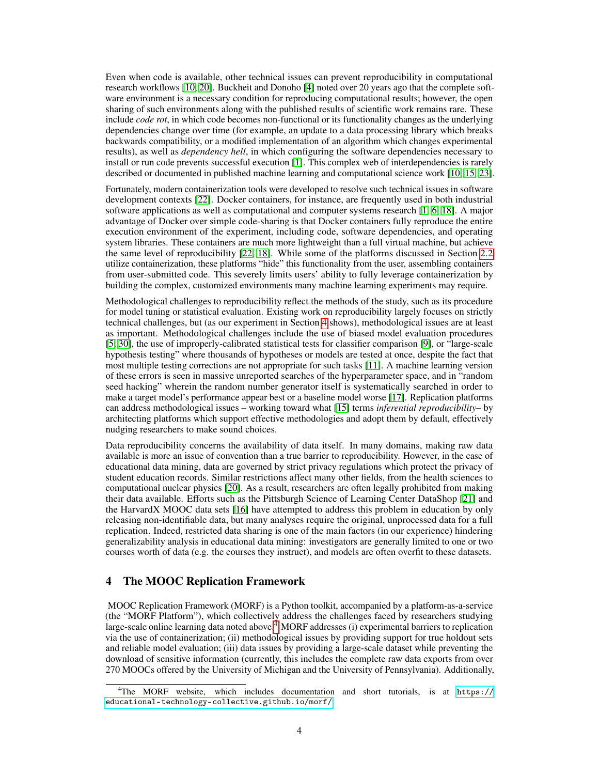Even when code is available, other technical issues can prevent reproducibility in computational research workflows [\[10,](#page-8-7) [20\]](#page-8-8). Buckheit and Donoho [\[4\]](#page-8-9) noted over 20 years ago that the complete software environment is a necessary condition for reproducing computational results; however, the open sharing of such environments along with the published results of scientific work remains rare. These include *code rot*, in which code becomes non-functional or its functionality changes as the underlying dependencies change over time (for example, an update to a data processing library which breaks backwards compatibility, or a modified implementation of an algorithm which changes experimental results), as well as *dependency hell*, in which configuring the software dependencies necessary to install or run code prevents successful execution [\[1\]](#page-8-10). This complex web of interdependencies is rarely described or documented in published machine learning and computational science work [\[10,](#page-8-7) [15,](#page-8-0) [23\]](#page-9-0).

Fortunately, modern containerization tools were developed to resolve such technical issues in software development contexts [\[22\]](#page-9-6). Docker containers, for instance, are frequently used in both industrial software applications as well as computational and computer systems research [\[1,](#page-8-10) [6,](#page-8-11) [18\]](#page-8-12). A major advantage of Docker over simple code-sharing is that Docker containers fully reproduce the entire execution environment of the experiment, including code, software dependencies, and operating system libraries. These containers are much more lightweight than a full virtual machine, but achieve the same level of reproducibility [\[22,](#page-9-6) [18\]](#page-8-12). While some of the platforms discussed in Section [2.2](#page-1-0) utilize containerization, these platforms "hide" this functionality from the user, assembling containers from user-submitted code. This severely limits users' ability to fully leverage containerization by building the complex, customized environments many machine learning experiments may require.

Methodological challenges to reproducibility reflect the methods of the study, such as its procedure for model tuning or statistical evaluation. Existing work on reproducibility largely focuses on strictly technical challenges, but (as our experiment in Section [4](#page-3-0) shows), methodological issues are at least as important. Methodological challenges include the use of biased model evaluation procedures [\[5,](#page-8-13) [30\]](#page-9-7), the use of improperly-calibrated statistical tests for classifier comparison [\[9\]](#page-8-14), or "large-scale hypothesis testing" where thousands of hypotheses or models are tested at once, despite the fact that most multiple testing corrections are not appropriate for such tasks [\[11\]](#page-8-15). A machine learning version of these errors is seen in massive unreported searches of the hyperparameter space, and in "random seed hacking" wherein the random number generator itself is systematically searched in order to make a target model's performance appear best or a baseline model worse [\[17\]](#page-8-1). Replication platforms can address methodological issues – working toward what [\[15\]](#page-8-0) terms *inferential reproducibility*– by architecting platforms which support effective methodologies and adopt them by default, effectively nudging researchers to make sound choices.

Data reproducibility concerns the availability of data itself. In many domains, making raw data available is more an issue of convention than a true barrier to reproducibility. However, in the case of educational data mining, data are governed by strict privacy regulations which protect the privacy of student education records. Similar restrictions affect many other fields, from the health sciences to computational nuclear physics [\[20\]](#page-8-8). As a result, researchers are often legally prohibited from making their data available. Efforts such as the Pittsburgh Science of Learning Center DataShop [\[21\]](#page-9-8) and the HarvardX MOOC data sets [\[16\]](#page-8-16) have attempted to address this problem in education by only releasing non-identifiable data, but many analyses require the original, unprocessed data for a full replication. Indeed, restricted data sharing is one of the main factors (in our experience) hindering generalizability analysis in educational data mining: investigators are generally limited to one or two courses worth of data (e.g. the courses they instruct), and models are often overfit to these datasets.

# <span id="page-3-0"></span>4 The MOOC Replication Framework

MOOC Replication Framework (MORF) is a Python toolkit, accompanied by a platform-as-a-service (the "MORF Platform"), which collectively address the challenges faced by researchers studying large-scale online learning data noted above.<sup>[4](#page-3-1)</sup> MORF addresses (i) experimental barriers to replication via the use of containerization; (ii) methodological issues by providing support for true holdout sets and reliable model evaluation; (iii) data issues by providing a large-scale dataset while preventing the download of sensitive information (currently, this includes the complete raw data exports from over 270 MOOCs offered by the University of Michigan and the University of Pennsylvania). Additionally,

<span id="page-3-1"></span><sup>4</sup>The MORF website, which includes documentation and short tutorials, is at [https://](https://educational-technology-collective.github.io/morf/) [educational-technology-collective.github.io/morf/](https://educational-technology-collective.github.io/morf/)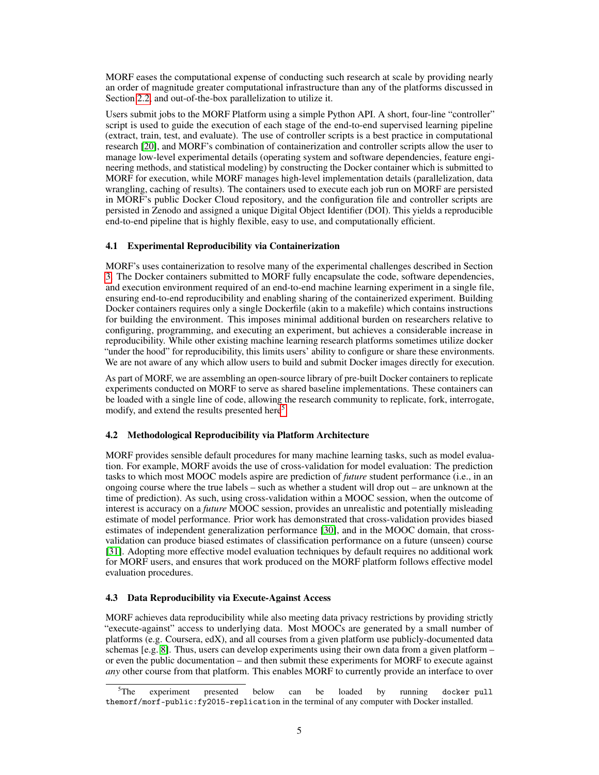MORF eases the computational expense of conducting such research at scale by providing nearly an order of magnitude greater computational infrastructure than any of the platforms discussed in Section [2.2,](#page-1-0) and out-of-the-box parallelization to utilize it.

Users submit jobs to the MORF Platform using a simple Python API. A short, four-line "controller" script is used to guide the execution of each stage of the end-to-end supervised learning pipeline (extract, train, test, and evaluate). The use of controller scripts is a best practice in computational research [\[20\]](#page-8-8), and MORF's combination of containerization and controller scripts allow the user to manage low-level experimental details (operating system and software dependencies, feature engineering methods, and statistical modeling) by constructing the Docker container which is submitted to MORF for execution, while MORF manages high-level implementation details (parallelization, data wrangling, caching of results). The containers used to execute each job run on MORF are persisted in MORF's public Docker Cloud repository, and the configuration file and controller scripts are persisted in Zenodo and assigned a unique Digital Object Identifier (DOI). This yields a reproducible end-to-end pipeline that is highly flexible, easy to use, and computationally efficient.

#### 4.1 Experimental Reproducibility via Containerization

MORF's uses containerization to resolve many of the experimental challenges described in Section [3.](#page-2-0) The Docker containers submitted to MORF fully encapsulate the code, software dependencies, and execution environment required of an end-to-end machine learning experiment in a single file, ensuring end-to-end reproducibility and enabling sharing of the containerized experiment. Building Docker containers requires only a single Dockerfile (akin to a makefile) which contains instructions for building the environment. This imposes minimal additional burden on researchers relative to configuring, programming, and executing an experiment, but achieves a considerable increase in reproducibility. While other existing machine learning research platforms sometimes utilize docker "under the hood" for reproducibility, this limits users' ability to configure or share these environments. We are not aware of any which allow users to build and submit Docker images directly for execution.

As part of MORF, we are assembling an open-source library of pre-built Docker containers to replicate experiments conducted on MORF to serve as shared baseline implementations. These containers can be loaded with a single line of code, allowing the research community to replicate, fork, interrogate, modify, and extend the results presented here<sup>[5](#page-4-0)</sup>.

#### 4.2 Methodological Reproducibility via Platform Architecture

MORF provides sensible default procedures for many machine learning tasks, such as model evaluation. For example, MORF avoids the use of cross-validation for model evaluation: The prediction tasks to which most MOOC models aspire are prediction of *future* student performance (i.e., in an ongoing course where the true labels – such as whether a student will drop out – are unknown at the time of prediction). As such, using cross-validation within a MOOC session, when the outcome of interest is accuracy on a *future* MOOC session, provides an unrealistic and potentially misleading estimate of model performance. Prior work has demonstrated that cross-validation provides biased estimates of independent generalization performance [\[30\]](#page-9-7), and in the MOOC domain, that crossvalidation can produce biased estimates of classification performance on a future (unseen) course [\[31\]](#page-9-9). Adopting more effective model evaluation techniques by default requires no additional work for MORF users, and ensures that work produced on the MORF platform follows effective model evaluation procedures.

### 4.3 Data Reproducibility via Execute-Against Access

MORF achieves data reproducibility while also meeting data privacy restrictions by providing strictly "execute-against" access to underlying data. Most MOOCs are generated by a small number of platforms (e.g. Coursera, edX), and all courses from a given platform use publicly-documented data schemas [e.g. [8\]](#page-8-17). Thus, users can develop experiments using their own data from a given platform – or even the public documentation – and then submit these experiments for MORF to execute against *any* other course from that platform. This enables MORF to currently provide an interface to over

<span id="page-4-0"></span><sup>&</sup>lt;sup>5</sup>The experiment presented below can be loaded by running docker-pull themorf/morf-public:fy2015-replication in the terminal of any computer with Docker installed.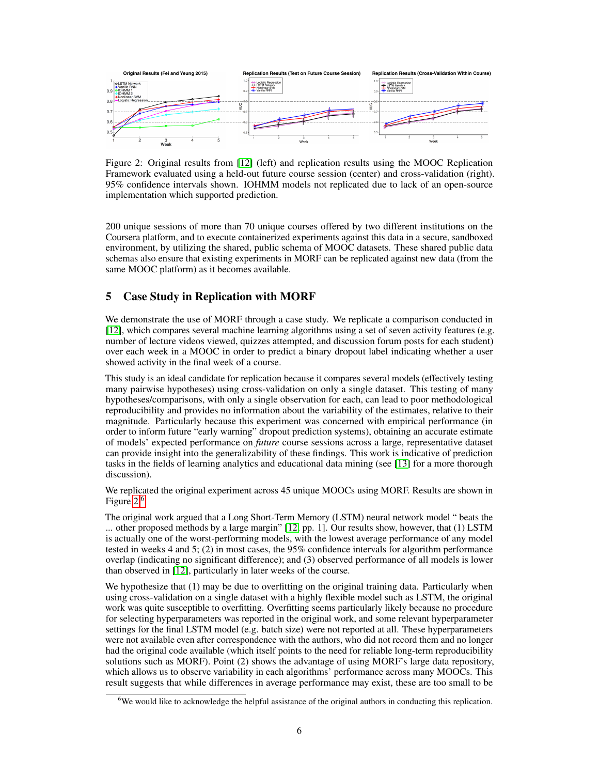

<span id="page-5-0"></span>Figure 2: Original results from [\[12\]](#page-8-18) (left) and replication results using the MOOC Replication Framework evaluated using a held-out future course session (center) and cross-validation (right). 95% confidence intervals shown. IOHMM models not replicated due to lack of an open-source implementation which supported prediction.

200 unique sessions of more than 70 unique courses offered by two different institutions on the Coursera platform, and to execute containerized experiments against this data in a secure, sandboxed environment, by utilizing the shared, public schema of MOOC datasets. These shared public data schemas also ensure that existing experiments in MORF can be replicated against new data (from the same MOOC platform) as it becomes available.

# 5 Case Study in Replication with MORF

We demonstrate the use of MORF through a case study. We replicate a comparison conducted in [\[12\]](#page-8-18), which compares several machine learning algorithms using a set of seven activity features (e.g. number of lecture videos viewed, quizzes attempted, and discussion forum posts for each student) over each week in a MOOC in order to predict a binary dropout label indicating whether a user showed activity in the final week of a course.

This study is an ideal candidate for replication because it compares several models (effectively testing many pairwise hypotheses) using cross-validation on only a single dataset. This testing of many hypotheses/comparisons, with only a single observation for each, can lead to poor methodological reproducibility and provides no information about the variability of the estimates, relative to their magnitude. Particularly because this experiment was concerned with empirical performance (in order to inform future "early warning" dropout prediction systems), obtaining an accurate estimate of models' expected performance on *future* course sessions across a large, representative dataset can provide insight into the generalizability of these findings. This work is indicative of prediction tasks in the fields of learning analytics and educational data mining (see [\[13\]](#page-8-19) for a more thorough discussion).

We replicated the original experiment across 45 unique MOOCs using MORF. Results are shown in Figure [2.](#page-5-0)[6](#page-5-1)

The original work argued that a Long Short-Term Memory (LSTM) neural network model " beats the ... other proposed methods by a large margin" [\[12,](#page-8-18) pp. 1]. Our results show, however, that (1) LSTM is actually one of the worst-performing models, with the lowest average performance of any model tested in weeks 4 and 5; (2) in most cases, the 95% confidence intervals for algorithm performance overlap (indicating no significant difference); and (3) observed performance of all models is lower than observed in [\[12\]](#page-8-18), particularly in later weeks of the course.

We hypothesize that (1) may be due to overfitting on the original training data. Particularly when using cross-validation on a single dataset with a highly flexible model such as LSTM, the original work was quite susceptible to overfitting. Overfitting seems particularly likely because no procedure for selecting hyperparameters was reported in the original work, and some relevant hyperparameter settings for the final LSTM model (e.g. batch size) were not reported at all. These hyperparameters were not available even after correspondence with the authors, who did not record them and no longer had the original code available (which itself points to the need for reliable long-term reproducibility solutions such as MORF). Point (2) shows the advantage of using MORF's large data repository, which allows us to observe variability in each algorithms' performance across many MOOCs. This result suggests that while differences in average performance may exist, these are too small to be

<span id="page-5-1"></span><sup>6</sup>We would like to acknowledge the helpful assistance of the original authors in conducting this replication.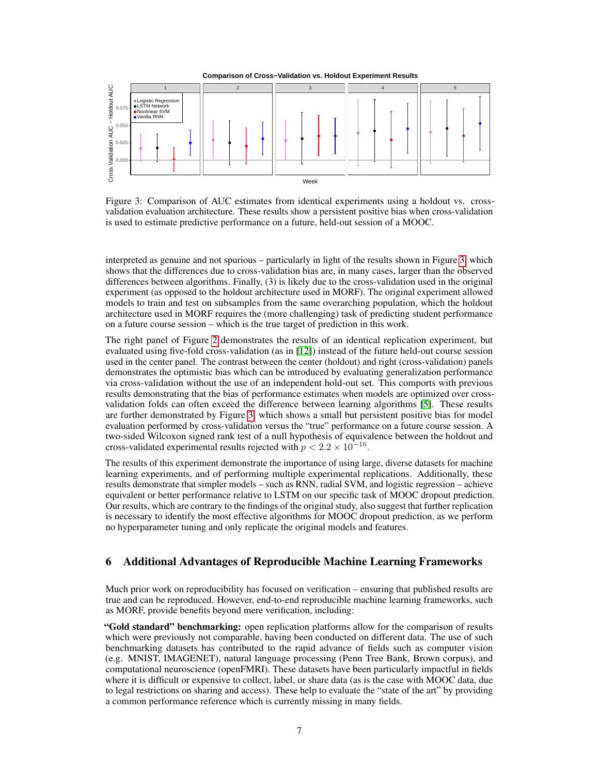

<span id="page-6-1"></span>Figure 3: Comparison of AUC estimates from identical experiments using a holdout vs. crossvalidation evaluation architecture. These results show a persistent positive bias when cross-validation is used to estimate predictive performance on a future, held-out session of a MOOC.

interpreted as genuine and not spurious – particularly in light of the results shown in Figure [3,](#page-6-1) which shows that the differences due to cross-validation bias are, in many cases, larger than the observed differences between algorithms. Finally, (3) is likely due to the cross-validation used in the original experiment (as opposed to the holdout architecture used in MORF). The original experiment allowed models to train and test on subsamples from the same overarching population, which the holdout architecture used in MORF requires the (more challenging) task of predicting student performance on a future course session – which is the true target of prediction in this work.

The right panel of Figure [2](#page-5-0) demonstrates the results of an identical replication experiment, but evaluated using five-fold cross-validation (as in [\[12\]](#page-8-18)) instead of the future held-out course session used in the center panel. The contrast between the center (holdout) and right (cross-validation) panels demonstrates the optimistic bias which can be introduced by evaluating generalization performance via cross-validation without the use of an independent hold-out set. This comports with previous results demonstrating that the bias of performance estimates when models are optimized over crossvalidation folds can often exceed the difference between learning algorithms [\[5\]](#page-8-13). These results are further demonstrated by Figure [3,](#page-6-1) which shows a small but persistent positive bias for model evaluation performed by cross-validation versus the "true" performance on a future course session. A two-sided Wilcoxon signed rank test of a null hypothesis of equivalence between the holdout and cross-validated experimental results rejected with  $p < 2.2 \times 10^{-16}$ .

The results of this experiment demonstrate the importance of using large, diverse datasets for machine learning experiments, and of performing multiple experimental replications. Additionally, these results demonstrate that simpler models – such as RNN, radial SVM, and logistic regression – achieve equivalent or better performance relative to LSTM on our specific task of MOOC dropout prediction. Our results, which are contrary to the findings of the original study, also suggest that further replication is necessary to identify the most effective algorithms for MOOC dropout prediction, as we perform no hyperparameter tuning and only replicate the original models and features.

# <span id="page-6-0"></span>6 Additional Advantages of Reproducible Machine Learning Frameworks

Much prior work on reproducibility has focused on verification – ensuring that published results are true and can be reproduced. However, end-to-end reproducible machine learning frameworks, such as MORF, provide benefits beyond mere verification, including:

"Gold standard" benchmarking: open replication platforms allow for the comparison of results which were previously not comparable, having been conducted on different data. The use of such benchmarking datasets has contributed to the rapid advance of fields such as computer vision (e.g. MNIST, IMAGENET), natural language processing (Penn Tree Bank, Brown corpus), and computational neuroscience (openFMRI). These datasets have been particularly impactful in fields where it is difficult or expensive to collect, label, or share data (as is the case with MOOC data, due to legal restrictions on sharing and access). These help to evaluate the "state of the art" by providing a common performance reference which is currently missing in many fields.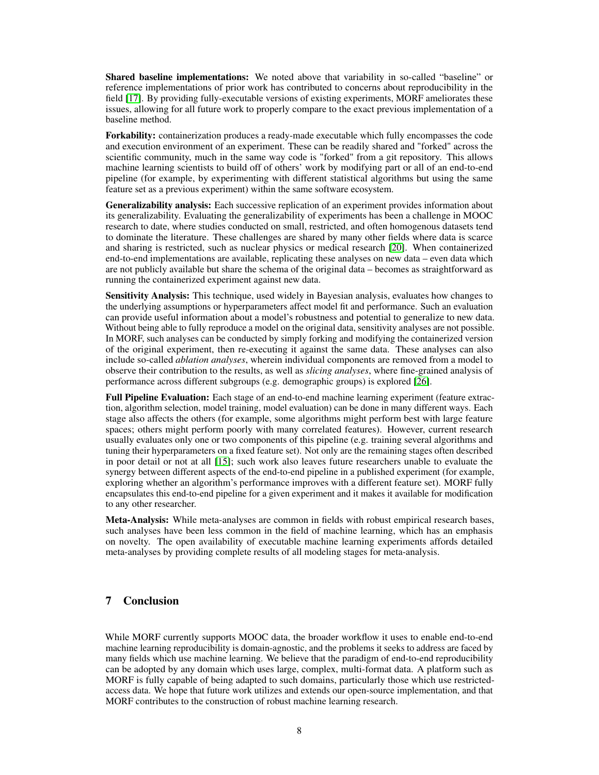Shared baseline implementations: We noted above that variability in so-called "baseline" or reference implementations of prior work has contributed to concerns about reproducibility in the field [\[17\]](#page-8-1). By providing fully-executable versions of existing experiments, MORF ameliorates these issues, allowing for all future work to properly compare to the exact previous implementation of a baseline method.

Forkability: containerization produces a ready-made executable which fully encompasses the code and execution environment of an experiment. These can be readily shared and "forked" across the scientific community, much in the same way code is "forked" from a git repository. This allows machine learning scientists to build off of others' work by modifying part or all of an end-to-end pipeline (for example, by experimenting with different statistical algorithms but using the same feature set as a previous experiment) within the same software ecosystem.

Generalizability analysis: Each successive replication of an experiment provides information about its generalizability. Evaluating the generalizability of experiments has been a challenge in MOOC research to date, where studies conducted on small, restricted, and often homogenous datasets tend to dominate the literature. These challenges are shared by many other fields where data is scarce and sharing is restricted, such as nuclear physics or medical research [\[20\]](#page-8-8). When containerized end-to-end implementations are available, replicating these analyses on new data – even data which are not publicly available but share the schema of the original data – becomes as straightforward as running the containerized experiment against new data.

Sensitivity Analysis: This technique, used widely in Bayesian analysis, evaluates how changes to the underlying assumptions or hyperparameters affect model fit and performance. Such an evaluation can provide useful information about a model's robustness and potential to generalize to new data. Without being able to fully reproduce a model on the original data, sensitivity analyses are not possible. In MORF, such analyses can be conducted by simply forking and modifying the containerized version of the original experiment, then re-executing it against the same data. These analyses can also include so-called *ablation analyses*, wherein individual components are removed from a model to observe their contribution to the results, as well as *slicing analyses*, where fine-grained analysis of performance across different subgroups (e.g. demographic groups) is explored [\[26\]](#page-9-10).

Full Pipeline Evaluation: Each stage of an end-to-end machine learning experiment (feature extraction, algorithm selection, model training, model evaluation) can be done in many different ways. Each stage also affects the others (for example, some algorithms might perform best with large feature spaces; others might perform poorly with many correlated features). However, current research usually evaluates only one or two components of this pipeline (e.g. training several algorithms and tuning their hyperparameters on a fixed feature set). Not only are the remaining stages often described in poor detail or not at all [\[15\]](#page-8-0); such work also leaves future researchers unable to evaluate the synergy between different aspects of the end-to-end pipeline in a published experiment (for example, exploring whether an algorithm's performance improves with a different feature set). MORF fully encapsulates this end-to-end pipeline for a given experiment and it makes it available for modification to any other researcher.

Meta-Analysis: While meta-analyses are common in fields with robust empirical research bases, such analyses have been less common in the field of machine learning, which has an emphasis on novelty. The open availability of executable machine learning experiments affords detailed meta-analyses by providing complete results of all modeling stages for meta-analysis.

# 7 Conclusion

While MORF currently supports MOOC data, the broader workflow it uses to enable end-to-end machine learning reproducibility is domain-agnostic, and the problems it seeks to address are faced by many fields which use machine learning. We believe that the paradigm of end-to-end reproducibility can be adopted by any domain which uses large, complex, multi-format data. A platform such as MORF is fully capable of being adapted to such domains, particularly those which use restrictedaccess data. We hope that future work utilizes and extends our open-source implementation, and that MORF contributes to the construction of robust machine learning research.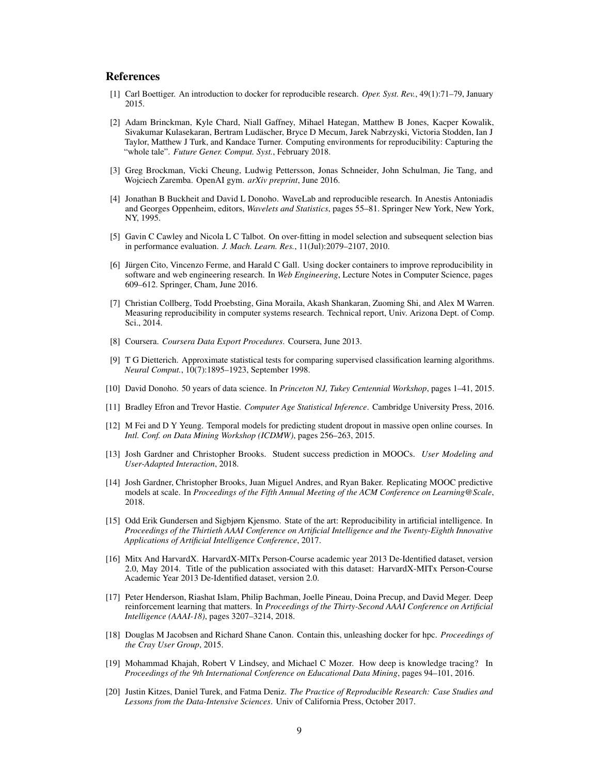# **References**

- <span id="page-8-10"></span>[1] Carl Boettiger. An introduction to docker for reproducible research. *Oper. Syst. Rev.*, 49(1):71–79, January 2015.
- <span id="page-8-5"></span>[2] Adam Brinckman, Kyle Chard, Niall Gaffney, Mihael Hategan, Matthew B Jones, Kacper Kowalik, Sivakumar Kulasekaran, Bertram Ludäscher, Bryce D Mecum, Jarek Nabrzyski, Victoria Stodden, Ian J Taylor, Matthew J Turk, and Kandace Turner. Computing environments for reproducibility: Capturing the "whole tale". *Future Gener. Comput. Syst.*, February 2018.
- <span id="page-8-4"></span>[3] Greg Brockman, Vicki Cheung, Ludwig Pettersson, Jonas Schneider, John Schulman, Jie Tang, and Wojciech Zaremba. OpenAI gym. *arXiv preprint*, June 2016.
- <span id="page-8-9"></span>[4] Jonathan B Buckheit and David L Donoho. WaveLab and reproducible research. In Anestis Antoniadis and Georges Oppenheim, editors, *Wavelets and Statistics*, pages 55–81. Springer New York, New York, NY, 1995.
- <span id="page-8-13"></span>[5] Gavin C Cawley and Nicola L C Talbot. On over-fitting in model selection and subsequent selection bias in performance evaluation. *J. Mach. Learn. Res.*, 11(Jul):2079–2107, 2010.
- <span id="page-8-11"></span>[6] Jürgen Cito, Vincenzo Ferme, and Harald C Gall. Using docker containers to improve reproducibility in software and web engineering research. In *Web Engineering*, Lecture Notes in Computer Science, pages 609–612. Springer, Cham, June 2016.
- <span id="page-8-6"></span>[7] Christian Collberg, Todd Proebsting, Gina Moraila, Akash Shankaran, Zuoming Shi, and Alex M Warren. Measuring reproducibility in computer systems research. Technical report, Univ. Arizona Dept. of Comp. Sci., 2014.
- <span id="page-8-17"></span>[8] Coursera. *Coursera Data Export Procedures*. Coursera, June 2013.
- <span id="page-8-14"></span>[9] T G Dietterich. Approximate statistical tests for comparing supervised classification learning algorithms. *Neural Comput.*, 10(7):1895–1923, September 1998.
- <span id="page-8-7"></span>[10] David Donoho. 50 years of data science. In *Princeton NJ, Tukey Centennial Workshop*, pages 1–41, 2015.
- <span id="page-8-15"></span>[11] Bradley Efron and Trevor Hastie. *Computer Age Statistical Inference*. Cambridge University Press, 2016.
- <span id="page-8-18"></span>[12] M Fei and D Y Yeung. Temporal models for predicting student dropout in massive open online courses. In *Intl. Conf. on Data Mining Workshop (ICDMW)*, pages 256–263, 2015.
- <span id="page-8-19"></span>[13] Josh Gardner and Christopher Brooks. Student success prediction in MOOCs. *User Modeling and User-Adapted Interaction*, 2018.
- <span id="page-8-2"></span>[14] Josh Gardner, Christopher Brooks, Juan Miguel Andres, and Ryan Baker. Replicating MOOC predictive models at scale. In *Proceedings of the Fifth Annual Meeting of the ACM Conference on Learning@Scale*, 2018.
- <span id="page-8-0"></span>[15] Odd Erik Gundersen and Sigbjørn Kjensmo. State of the art: Reproducibility in artificial intelligence. In *Proceedings of the Thirtieth AAAI Conference on Artificial Intelligence and the Twenty-Eighth Innovative Applications of Artificial Intelligence Conference*, 2017.
- <span id="page-8-16"></span>[16] Mitx And HarvardX. HarvardX-MITx Person-Course academic year 2013 De-Identified dataset, version 2.0, May 2014. Title of the publication associated with this dataset: HarvardX-MITx Person-Course Academic Year 2013 De-Identified dataset, version 2.0.
- <span id="page-8-1"></span>[17] Peter Henderson, Riashat Islam, Philip Bachman, Joelle Pineau, Doina Precup, and David Meger. Deep reinforcement learning that matters. In *Proceedings of the Thirty-Second AAAI Conference on Artificial Intelligence (AAAI-18)*, pages 3207–3214, 2018.
- <span id="page-8-12"></span>[18] Douglas M Jacobsen and Richard Shane Canon. Contain this, unleashing docker for hpc. *Proceedings of the Cray User Group*, 2015.
- <span id="page-8-3"></span>[19] Mohammad Khajah, Robert V Lindsey, and Michael C Mozer. How deep is knowledge tracing? In *Proceedings of the 9th International Conference on Educational Data Mining*, pages 94–101, 2016.
- <span id="page-8-8"></span>[20] Justin Kitzes, Daniel Turek, and Fatma Deniz. *The Practice of Reproducible Research: Case Studies and Lessons from the Data-Intensive Sciences*. Univ of California Press, October 2017.